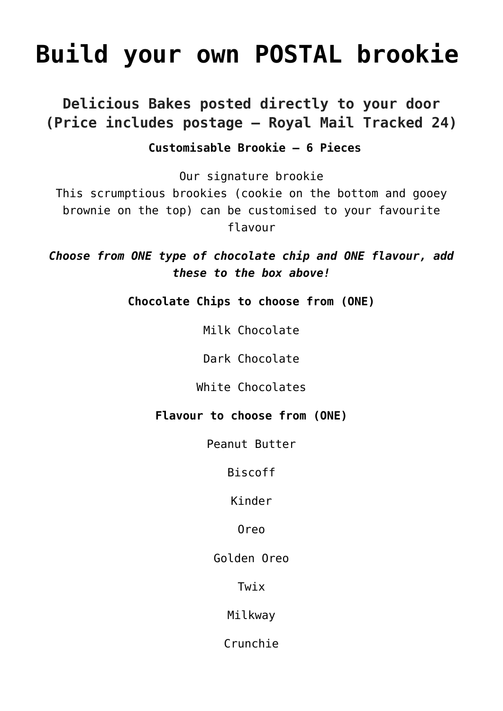## **[Build your own POSTAL brookie](https://www.sarahjthomas.com/product/build-your-own-postal-brookie/)**

### **Delicious Bakes posted directly to your door (Price includes postage – Royal Mail Tracked 24)**

### **Customisable Brookie – 6 Pieces**

Our signature brookie

This scrumptious brookies (cookie on the bottom and gooey brownie on the top) can be customised to your favourite flavour

*Choose from ONE type of chocolate chip and ONE flavour, add these to the box above!*

**Chocolate Chips to choose from (ONE)**

Milk Chocolate

Dark Chocolate

White Chocolates

### **Flavour to choose from (ONE)**

Peanut Butter

Biscoff

Kinder

Oreo

Golden Oreo

Twix

Milkway

Crunchie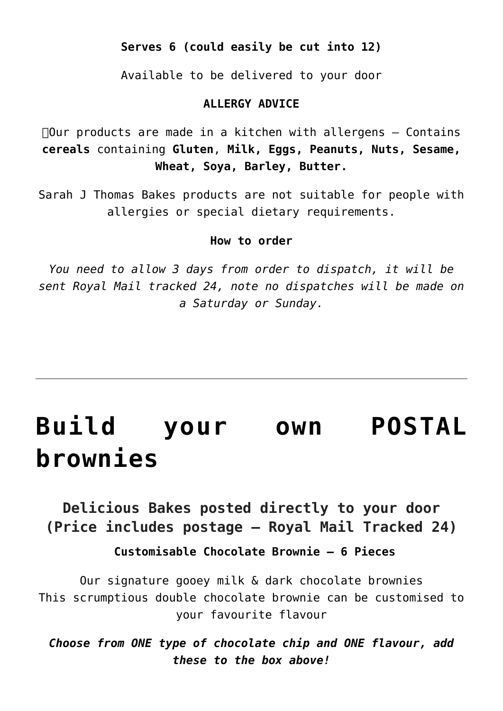### **Serves 6 (could easily be cut into 12)**

Available to be delivered to your door

### **ALLERGY ADVICE**

 $\Box$ Our products are made in a kitchen with allergens  $-$  Contains **cereals** containing **Gluten**, **Milk, Eggs, Peanuts, Nuts, Sesame, Wheat, Soya, Barley, Butter.**

Sarah J Thomas Bakes products are not suitable for people with allergies or special dietary requirements.

#### **How to order**

*You need to allow 3 days from order to dispatch, it will be sent Royal Mail tracked 24, note no dispatches will be made on a Saturday or Sunday.*

# **[Build your own POSTAL](https://www.sarahjthomas.com/product/build-your-own-postal-brownies/) [brownies](https://www.sarahjthomas.com/product/build-your-own-postal-brownies/)**

**Delicious Bakes posted directly to your door (Price includes postage – Royal Mail Tracked 24)**

 **Customisable Chocolate Brownie – 6 Pieces**

Our signature gooey milk & dark chocolate brownies This scrumptious double chocolate brownie can be customised to your favourite flavour

*Choose from ONE type of chocolate chip and ONE flavour, add these to the box above!*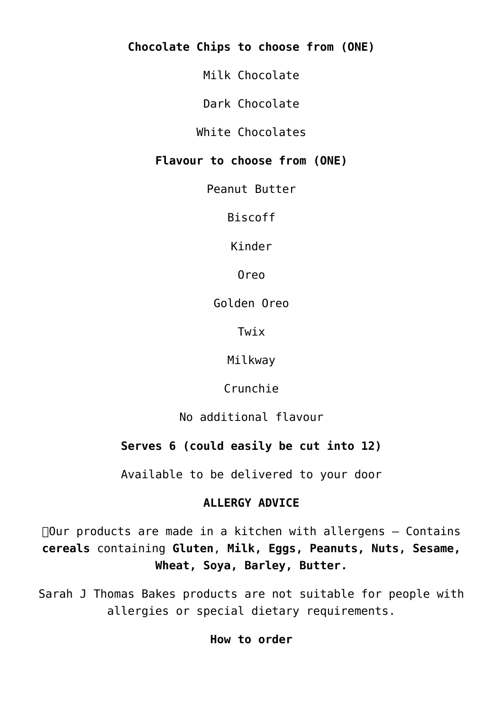**Chocolate Chips to choose from (ONE)**

Milk Chocolate

Dark Chocolate

White Chocolates

### **Flavour to choose from (ONE)**

Peanut Butter

Biscoff

Kinder

Oreo

Golden Oreo

Twix

Milkway

Crunchie

No additional flavour

### **Serves 6 (could easily be cut into 12)**

Available to be delivered to your door

### **ALLERGY ADVICE**

 $\Box$ Our products are made in a kitchen with allergens  $-$  Contains **cereals** containing **Gluten**, **Milk, Eggs, Peanuts, Nuts, Sesame, Wheat, Soya, Barley, Butter.**

Sarah J Thomas Bakes products are not suitable for people with allergies or special dietary requirements.

**How to order**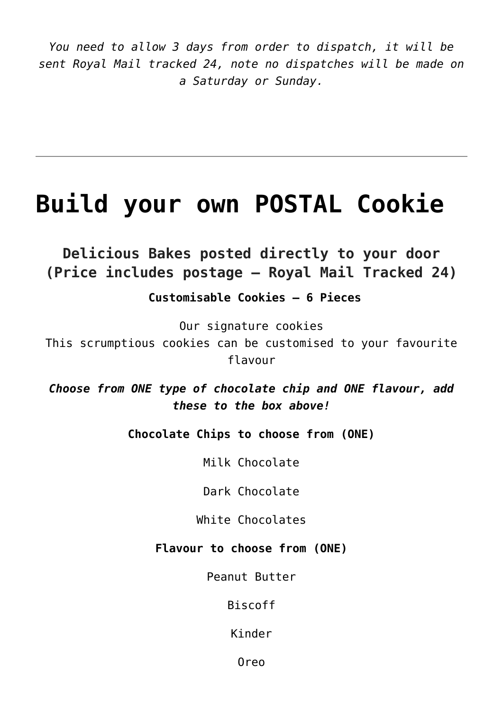*You need to allow 3 days from order to dispatch, it will be sent Royal Mail tracked 24, note no dispatches will be made on a Saturday or Sunday.*

### **[Build your own POSTAL Cookie](https://www.sarahjthomas.com/product/build-your-own-postal-cookie/)**

**Delicious Bakes posted directly to your door (Price includes postage – Royal Mail Tracked 24)**

 **Customisable Cookies – 6 Pieces**

Our signature cookies

This scrumptious cookies can be customised to your favourite flavour

*Choose from ONE type of chocolate chip and ONE flavour, add these to the box above!*

**Chocolate Chips to choose from (ONE)**

Milk Chocolate

Dark Chocolate

White Chocolates

**Flavour to choose from (ONE)**

Peanut Butter

Biscoff

Kinder

Oreo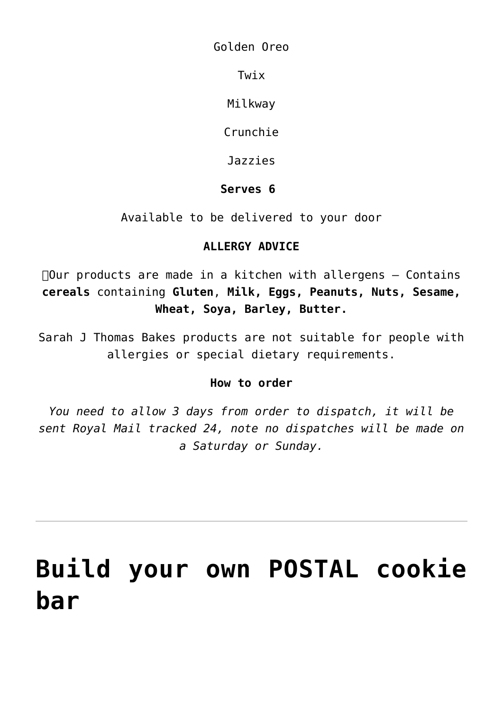Golden Oreo

Twix

Milkway

Crunchie

Jazzies

### **Serves 6**

Available to be delivered to your door

### **ALLERGY ADVICE**

 $\Box$ Our products are made in a kitchen with allergens  $-$  Contains **cereals** containing **Gluten**, **Milk, Eggs, Peanuts, Nuts, Sesame, Wheat, Soya, Barley, Butter.**

Sarah J Thomas Bakes products are not suitable for people with allergies or special dietary requirements.

### **How to order**

*You need to allow 3 days from order to dispatch, it will be sent Royal Mail tracked 24, note no dispatches will be made on a Saturday or Sunday.*

# **[Build your own POSTAL cookie](https://www.sarahjthomas.com/product/build-your-own-postal-cookie-bar/) [bar](https://www.sarahjthomas.com/product/build-your-own-postal-cookie-bar/)**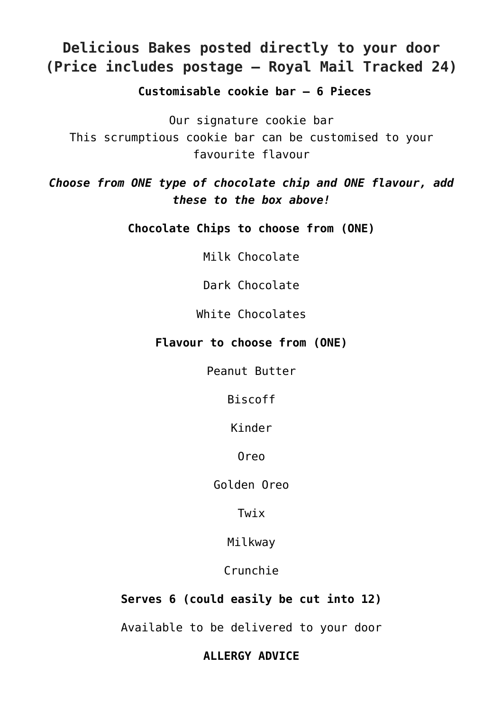### **Delicious Bakes posted directly to your door (Price includes postage – Royal Mail Tracked 24)**

 **Customisable cookie bar – 6 Pieces**

Our signature cookie bar This scrumptious cookie bar can be customised to your favourite flavour

*Choose from ONE type of chocolate chip and ONE flavour, add these to the box above!*

**Chocolate Chips to choose from (ONE)**

Milk Chocolate

Dark Chocolate

White Chocolates

#### **Flavour to choose from (ONE)**

Peanut Butter

Biscoff

Kinder

Oreo

Golden Oreo

Twix

Milkway

Crunchie

**Serves 6 (could easily be cut into 12)**

Available to be delivered to your door

**ALLERGY ADVICE**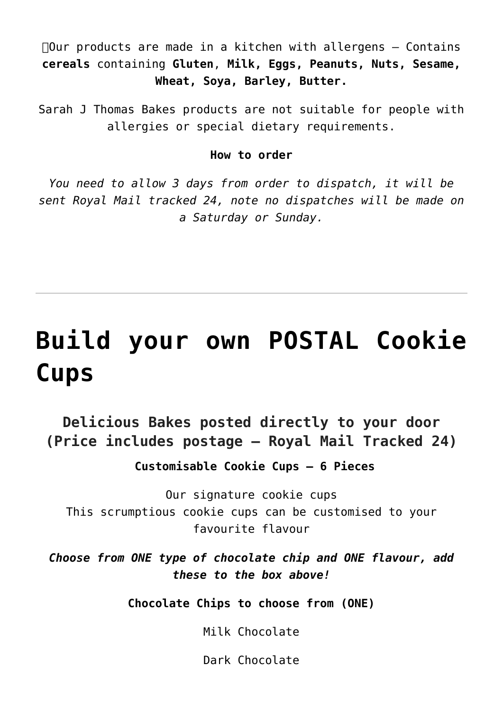$\Box$ Our products are made in a kitchen with allergens  $-$  Contains **cereals** containing **Gluten**, **Milk, Eggs, Peanuts, Nuts, Sesame, Wheat, Soya, Barley, Butter.**

Sarah J Thomas Bakes products are not suitable for people with allergies or special dietary requirements.

#### **How to order**

*You need to allow 3 days from order to dispatch, it will be sent Royal Mail tracked 24, note no dispatches will be made on a Saturday or Sunday.*

# **[Build your own POSTAL Cookie](https://www.sarahjthomas.com/product/build-your-own-postal-cookie-cups/) [Cups](https://www.sarahjthomas.com/product/build-your-own-postal-cookie-cups/)**

### **Delicious Bakes posted directly to your door (Price includes postage – Royal Mail Tracked 24)**

 **Customisable Cookie Cups – 6 Pieces**

Our signature cookie cups This scrumptious cookie cups can be customised to your favourite flavour

*Choose from ONE type of chocolate chip and ONE flavour, add these to the box above!*

**Chocolate Chips to choose from (ONE)**

Milk Chocolate

Dark Chocolate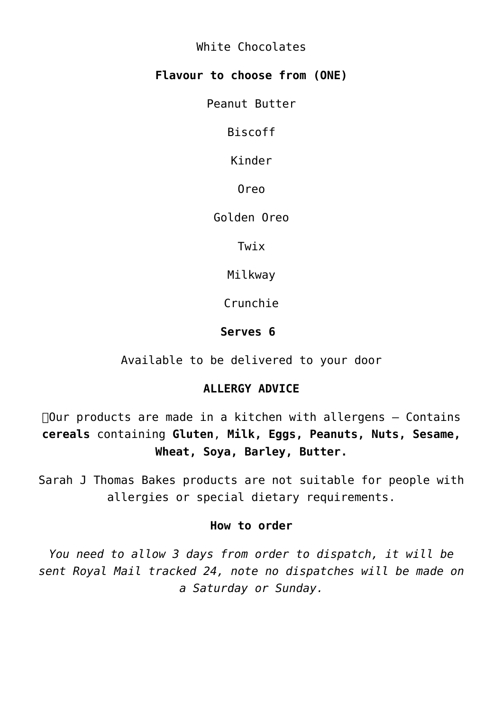White Chocolates

### **Flavour to choose from (ONE)**

Peanut Butter

Biscoff

Kinder

Oreo

Golden Oreo

Twix

Milkway

Crunchie

### **Serves 6**

Available to be delivered to your door

### **ALLERGY ADVICE**

 $\Box$ Our products are made in a kitchen with allergens  $-$  Contains **cereals** containing **Gluten**, **Milk, Eggs, Peanuts, Nuts, Sesame, Wheat, Soya, Barley, Butter.**

Sarah J Thomas Bakes products are not suitable for people with allergies or special dietary requirements.

#### **How to order**

*You need to allow 3 days from order to dispatch, it will be sent Royal Mail tracked 24, note no dispatches will be made on a Saturday or Sunday.*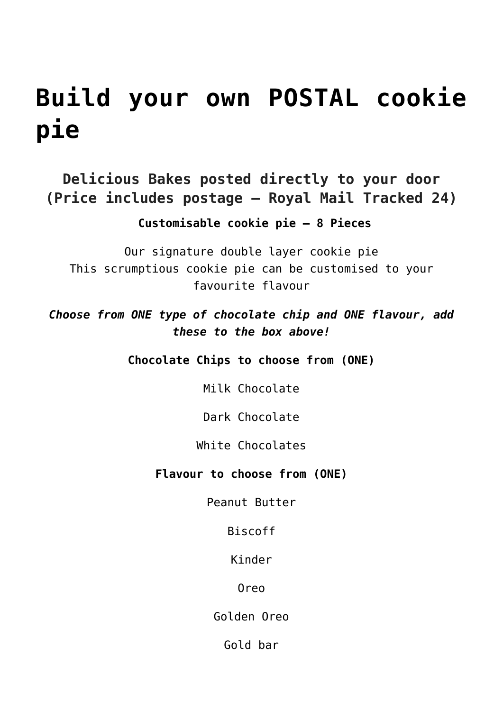# **[Build your own POSTAL cookie](https://www.sarahjthomas.com/product/build-your-own-postal-cookie-pie/) [pie](https://www.sarahjthomas.com/product/build-your-own-postal-cookie-pie/)**

**Delicious Bakes posted directly to your door (Price includes postage – Royal Mail Tracked 24)**

 **Customisable cookie pie – 8 Pieces**

Our signature double layer cookie pie This scrumptious cookie pie can be customised to your favourite flavour

*Choose from ONE type of chocolate chip and ONE flavour, add these to the box above!*

**Chocolate Chips to choose from (ONE)**

Milk Chocolate

Dark Chocolate

White Chocolates

**Flavour to choose from (ONE)**

Peanut Butter

Biscoff

Kinder

Oreo

Golden Oreo

Gold bar